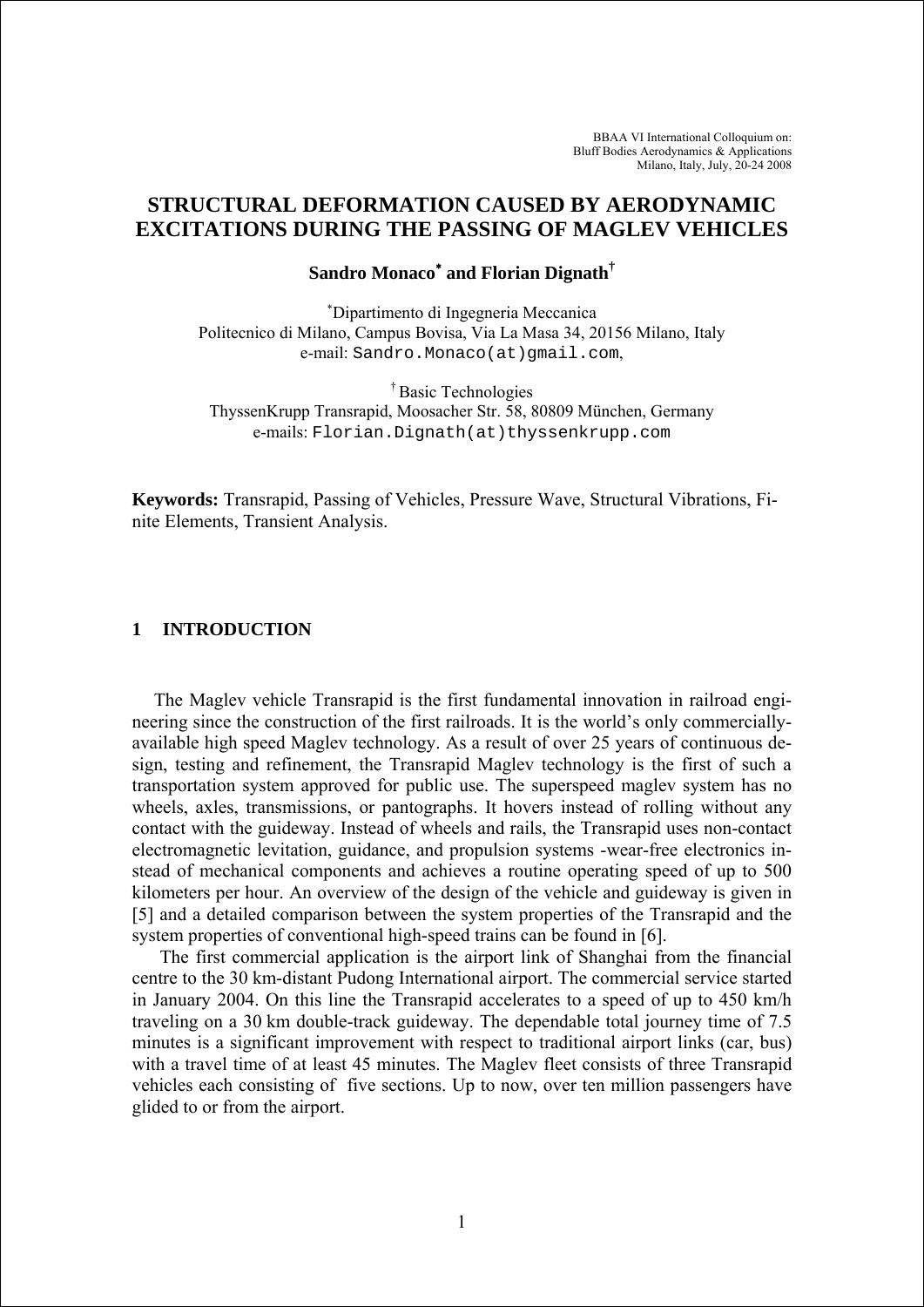# **STRUCTURAL DEFORMATION CAUSED BY AERODYNAMIC EXCITATIONS DURING THE PASSING OF MAGLEV VEHICLES**

# **Sandro Monaco**<sup>∗</sup>  **and Florian Dignath†**

∗ Dipartimento di Ingegneria Meccanica Politecnico di Milano, Campus Bovisa, Via La Masa 34, 20156 Milano, Italy e-mail: Sandro.Monaco(at)qmail.com,

† Basic Technologies ThyssenKrupp Transrapid, Moosacher Str. 58, 80809 München, Germany e-mails: Florian.Dignath(at)thyssenkrupp.com

**Keywords:** Transrapid, Passing of Vehicles, Pressure Wave, Structural Vibrations, Finite Elements, Transient Analysis.

# **1 INTRODUCTION**

The Maglev vehicle Transrapid is the first fundamental innovation in railroad engineering since the construction of the first railroads. It is the world's only commerciallyavailable high speed Maglev technology. As a result of over 25 years of continuous design, testing and refinement, the Transrapid Maglev technology is the first of such a transportation system approved for public use. The superspeed maglev system has no wheels, axles, transmissions, or pantographs. It hovers instead of rolling without any contact with the guideway. Instead of wheels and rails, the Transrapid uses non-contact electromagnetic levitation, guidance, and propulsion systems -wear-free electronics instead of mechanical components and achieves a routine operating speed of up to 500 kilometers per hour. An overview of the design of the vehicle and guideway is given in [5] and a detailed comparison between the system properties of the Transrapid and the system properties of conventional high-speed trains can be found in [6].

The first commercial application is the airport link of Shanghai from the financial centre to the 30 km-distant Pudong International airport. The commercial service started in January 2004. On this line the Transrapid accelerates to a speed of up to 450 km/h traveling on a 30 km double-track guideway. The dependable total journey time of 7.5 minutes is a significant improvement with respect to traditional airport links (car, bus) with a travel time of at least 45 minutes. The Maglev fleet consists of three Transrapid vehicles each consisting of five sections. Up to now, over ten million passengers have glided to or from the airport.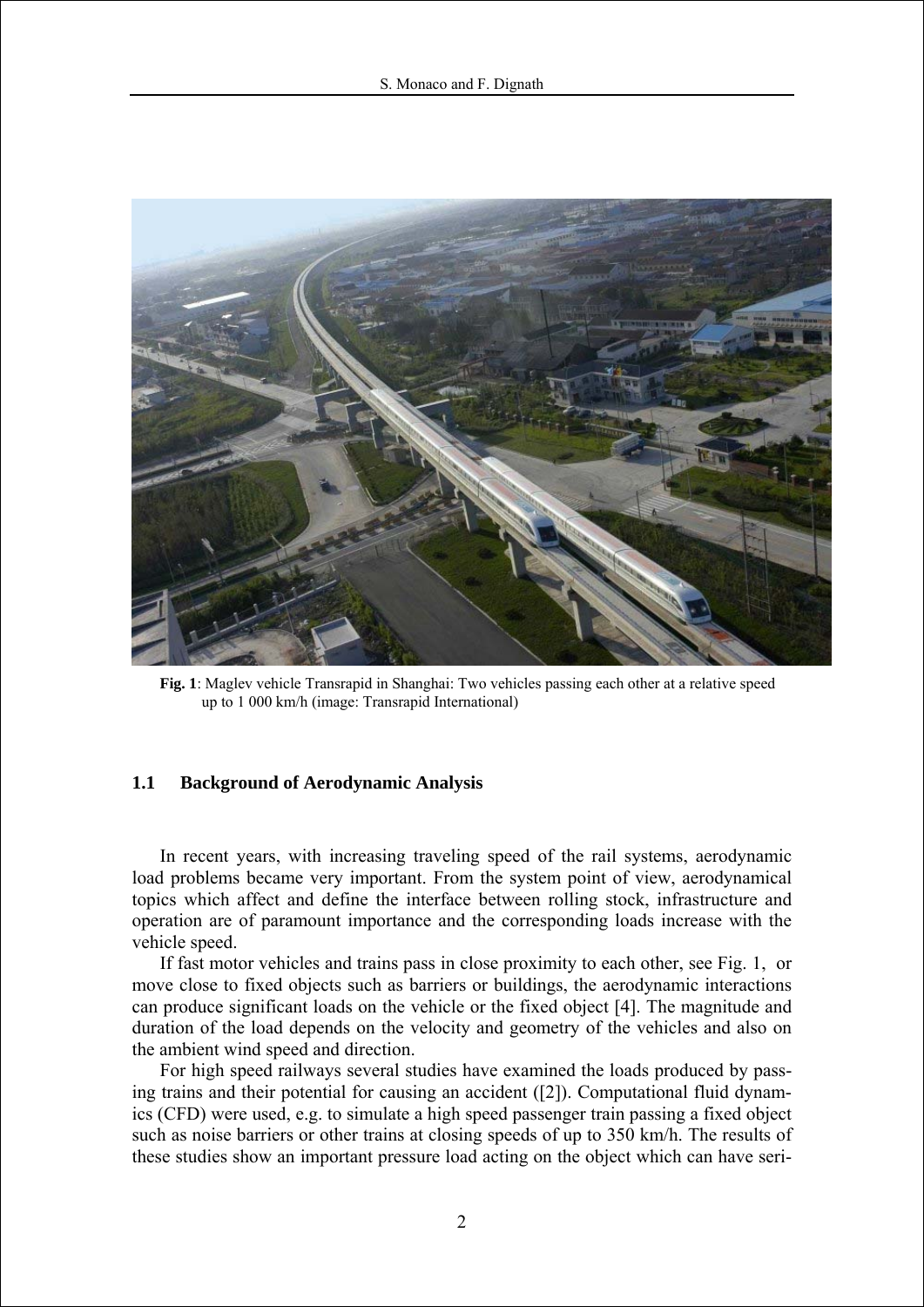

**Fig. 1**: Maglev vehicle Transrapid in Shanghai: Two vehicles passing each other at a relative speed up to 1 000 km/h (image: Transrapid International)

# **1.1 Background of Aerodynamic Analysis**

In recent years, with increasing traveling speed of the rail systems, aerodynamic load problems became very important. From the system point of view, aerodynamical topics which affect and define the interface between rolling stock, infrastructure and operation are of paramount importance and the corresponding loads increase with the vehicle speed.

If fast motor vehicles and trains pass in close proximity to each other, see Fig. 1, or move close to fixed objects such as barriers or buildings, the aerodynamic interactions can produce significant loads on the vehicle or the fixed object [4]. The magnitude and duration of the load depends on the velocity and geometry of the vehicles and also on the ambient wind speed and direction.

For high speed railways several studies have examined the loads produced by passing trains and their potential for causing an accident ([2]). Computational fluid dynamics (CFD) were used, e.g. to simulate a high speed passenger train passing a fixed object such as noise barriers or other trains at closing speeds of up to 350 km/h. The results of these studies show an important pressure load acting on the object which can have seri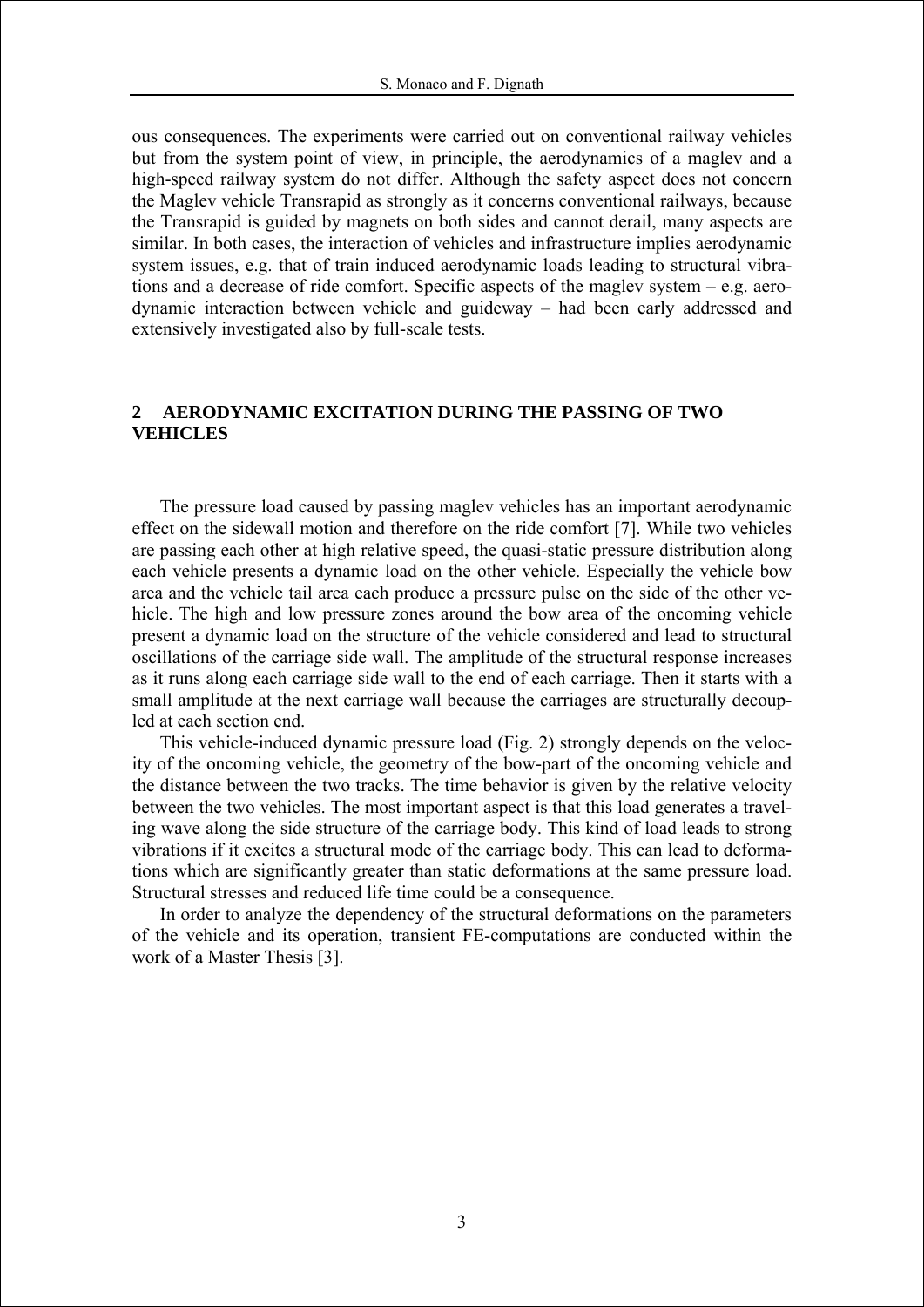ous consequences. The experiments were carried out on conventional railway vehicles but from the system point of view, in principle, the aerodynamics of a maglev and a high-speed railway system do not differ. Although the safety aspect does not concern the Maglev vehicle Transrapid as strongly as it concerns conventional railways, because the Transrapid is guided by magnets on both sides and cannot derail, many aspects are similar. In both cases, the interaction of vehicles and infrastructure implies aerodynamic system issues, e.g. that of train induced aerodynamic loads leading to structural vibrations and a decrease of ride comfort. Specific aspects of the maglev system – e.g. aerodynamic interaction between vehicle and guideway – had been early addressed and extensively investigated also by full-scale tests.

# **2 AERODYNAMIC EXCITATION DURING THE PASSING OF TWO VEHICLES**

The pressure load caused by passing maglev vehicles has an important aerodynamic effect on the sidewall motion and therefore on the ride comfort [7]. While two vehicles are passing each other at high relative speed, the quasi-static pressure distribution along each vehicle presents a dynamic load on the other vehicle. Especially the vehicle bow area and the vehicle tail area each produce a pressure pulse on the side of the other vehicle. The high and low pressure zones around the bow area of the oncoming vehicle present a dynamic load on the structure of the vehicle considered and lead to structural oscillations of the carriage side wall. The amplitude of the structural response increases as it runs along each carriage side wall to the end of each carriage. Then it starts with a small amplitude at the next carriage wall because the carriages are structurally decoupled at each section end.

This vehicle-induced dynamic pressure load (Fig. 2) strongly depends on the velocity of the oncoming vehicle, the geometry of the bow-part of the oncoming vehicle and the distance between the two tracks. The time behavior is given by the relative velocity between the two vehicles. The most important aspect is that this load generates a traveling wave along the side structure of the carriage body. This kind of load leads to strong vibrations if it excites a structural mode of the carriage body. This can lead to deformations which are significantly greater than static deformations at the same pressure load. Structural stresses and reduced life time could be a consequence.

In order to analyze the dependency of the structural deformations on the parameters of the vehicle and its operation, transient FE-computations are conducted within the work of a Master Thesis [3].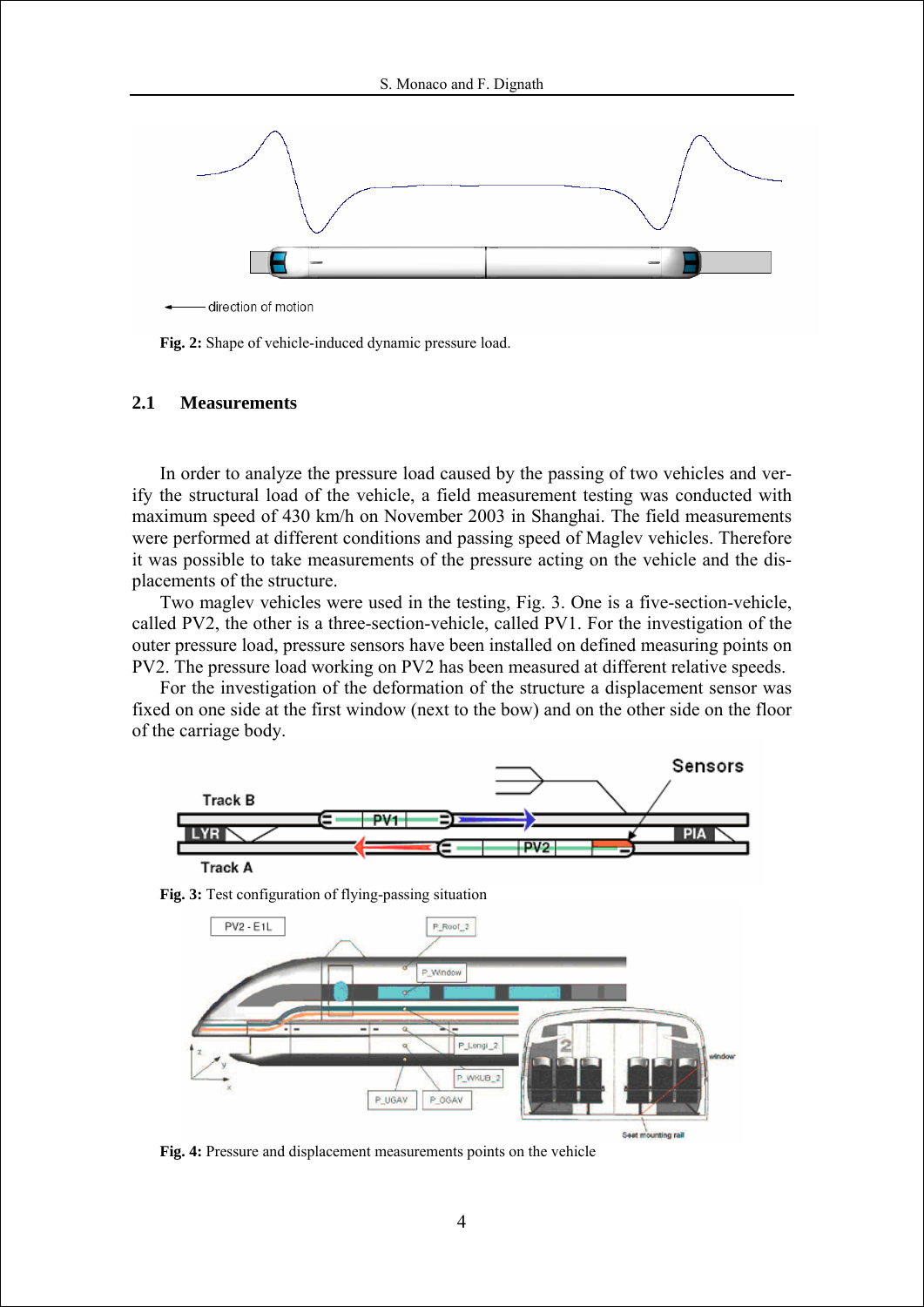

**Fig. 2:** Shape of vehicle-induced dynamic pressure load.

# **2.1 Measurements**

In order to analyze the pressure load caused by the passing of two vehicles and verify the structural load of the vehicle, a field measurement testing was conducted with maximum speed of 430 km/h on November 2003 in Shanghai. The field measurements were performed at different conditions and passing speed of Maglev vehicles. Therefore it was possible to take measurements of the pressure acting on the vehicle and the displacements of the structure.

Two maglev vehicles were used in the testing, Fig. 3. One is a five-section-vehicle, called PV2, the other is a three-section-vehicle, called PV1. For the investigation of the outer pressure load, pressure sensors have been installed on defined measuring points on PV2. The pressure load working on PV2 has been measured at different relative speeds.

For the investigation of the deformation of the structure a displacement sensor was fixed on one side at the first window (next to the bow) and on the other side on the floor of the carriage body.





**Fig. 3:** Test configuration of flying-passing situation

**Fig. 4:** Pressure and displacement measurements points on the vehicle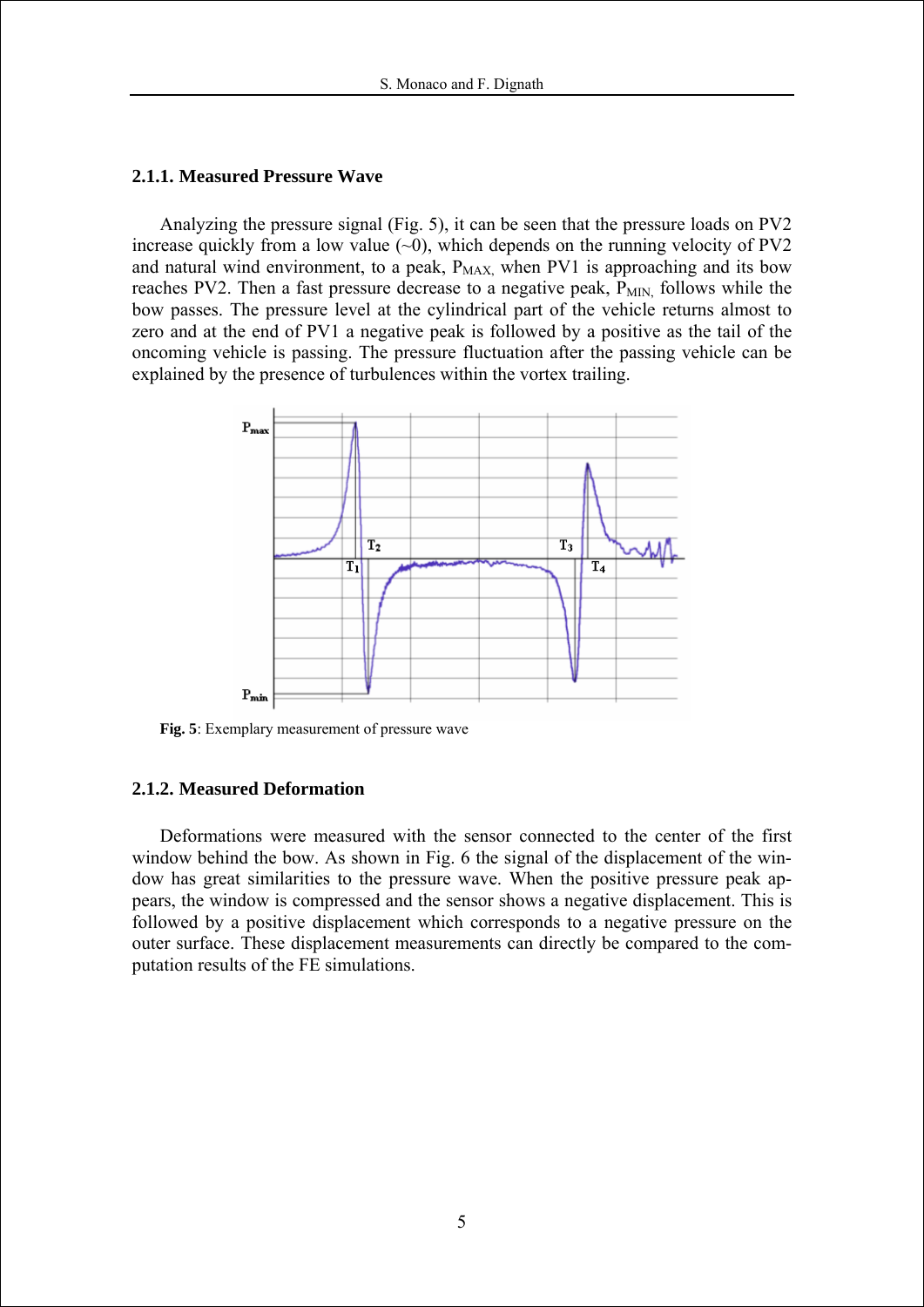### **2.1.1. Measured Pressure Wave**

Analyzing the pressure signal (Fig. 5), it can be seen that the pressure loads on PV2 increase quickly from a low value  $(-0)$ , which depends on the running velocity of PV2 and natural wind environment, to a peak,  $P_{MAX}$ , when PV1 is approaching and its bow reaches PV2. Then a fast pressure decrease to a negative peak,  $P_{MIN}$  follows while the bow passes. The pressure level at the cylindrical part of the vehicle returns almost to zero and at the end of PV1 a negative peak is followed by a positive as the tail of the oncoming vehicle is passing. The pressure fluctuation after the passing vehicle can be explained by the presence of turbulences within the vortex trailing.



**Fig. 5**: Exemplary measurement of pressure wave

## **2.1.2. Measured Deformation**

Deformations were measured with the sensor connected to the center of the first window behind the bow. As shown in Fig. 6 the signal of the displacement of the window has great similarities to the pressure wave. When the positive pressure peak appears, the window is compressed and the sensor shows a negative displacement. This is followed by a positive displacement which corresponds to a negative pressure on the outer surface. These displacement measurements can directly be compared to the computation results of the FE simulations.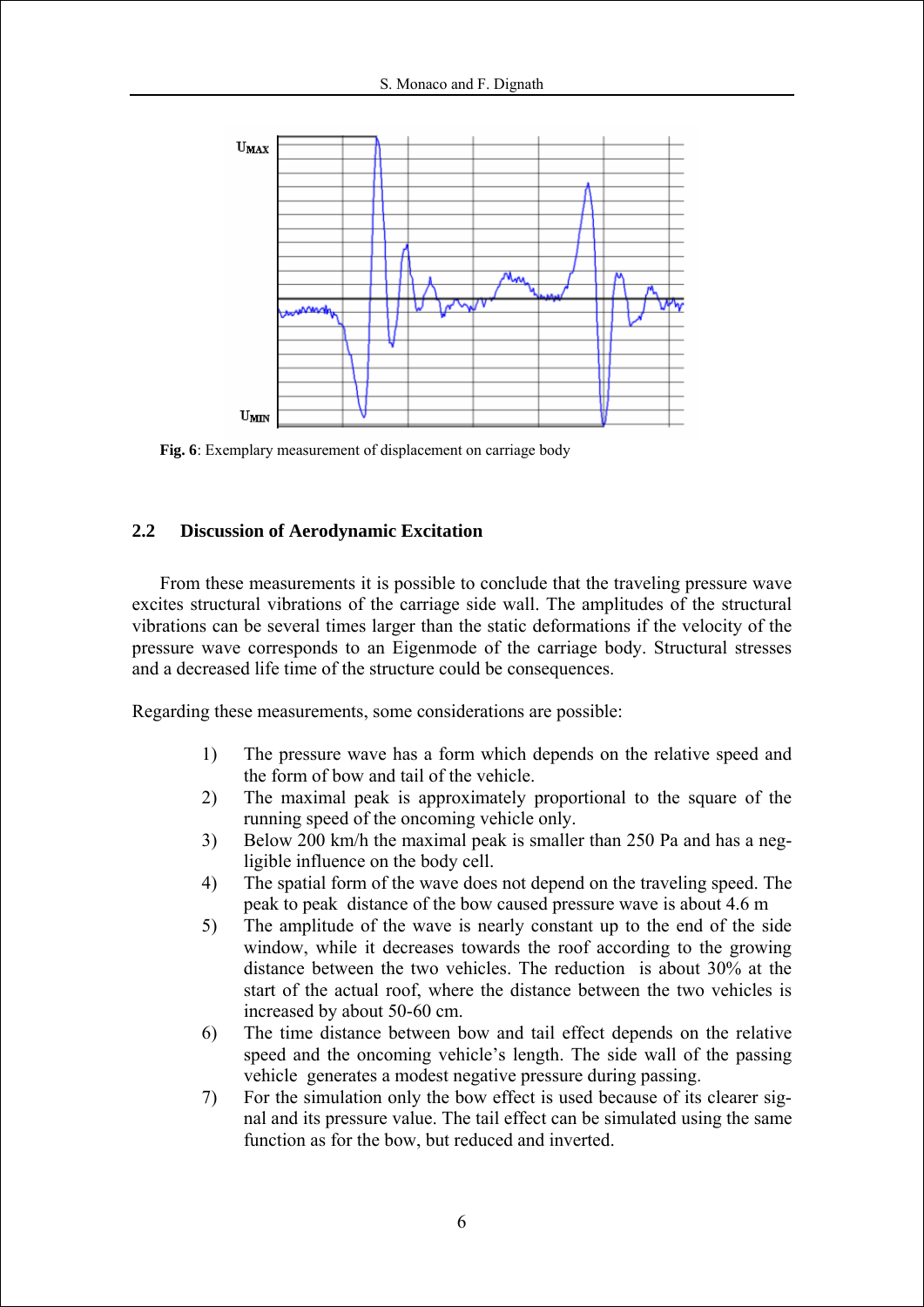

**Fig. 6**: Exemplary measurement of displacement on carriage body

# **2.2 Discussion of Aerodynamic Excitation**

From these measurements it is possible to conclude that the traveling pressure wave excites structural vibrations of the carriage side wall. The amplitudes of the structural vibrations can be several times larger than the static deformations if the velocity of the pressure wave corresponds to an Eigenmode of the carriage body. Structural stresses and a decreased life time of the structure could be consequences.

Regarding these measurements, some considerations are possible:

- 1) The pressure wave has a form which depends on the relative speed and the form of bow and tail of the vehicle.
- 2) The maximal peak is approximately proportional to the square of the running speed of the oncoming vehicle only.
- 3) Below 200 km/h the maximal peak is smaller than 250 Pa and has a negligible influence on the body cell.
- 4) The spatial form of the wave does not depend on the traveling speed. The peak to peak distance of the bow caused pressure wave is about 4.6 m
- 5) The amplitude of the wave is nearly constant up to the end of the side window, while it decreases towards the roof according to the growing distance between the two vehicles. The reduction is about 30% at the start of the actual roof, where the distance between the two vehicles is increased by about 50-60 cm.
- 6) The time distance between bow and tail effect depends on the relative speed and the oncoming vehicle's length. The side wall of the passing vehicle generates a modest negative pressure during passing.
- 7) For the simulation only the bow effect is used because of its clearer signal and its pressure value. The tail effect can be simulated using the same function as for the bow, but reduced and inverted.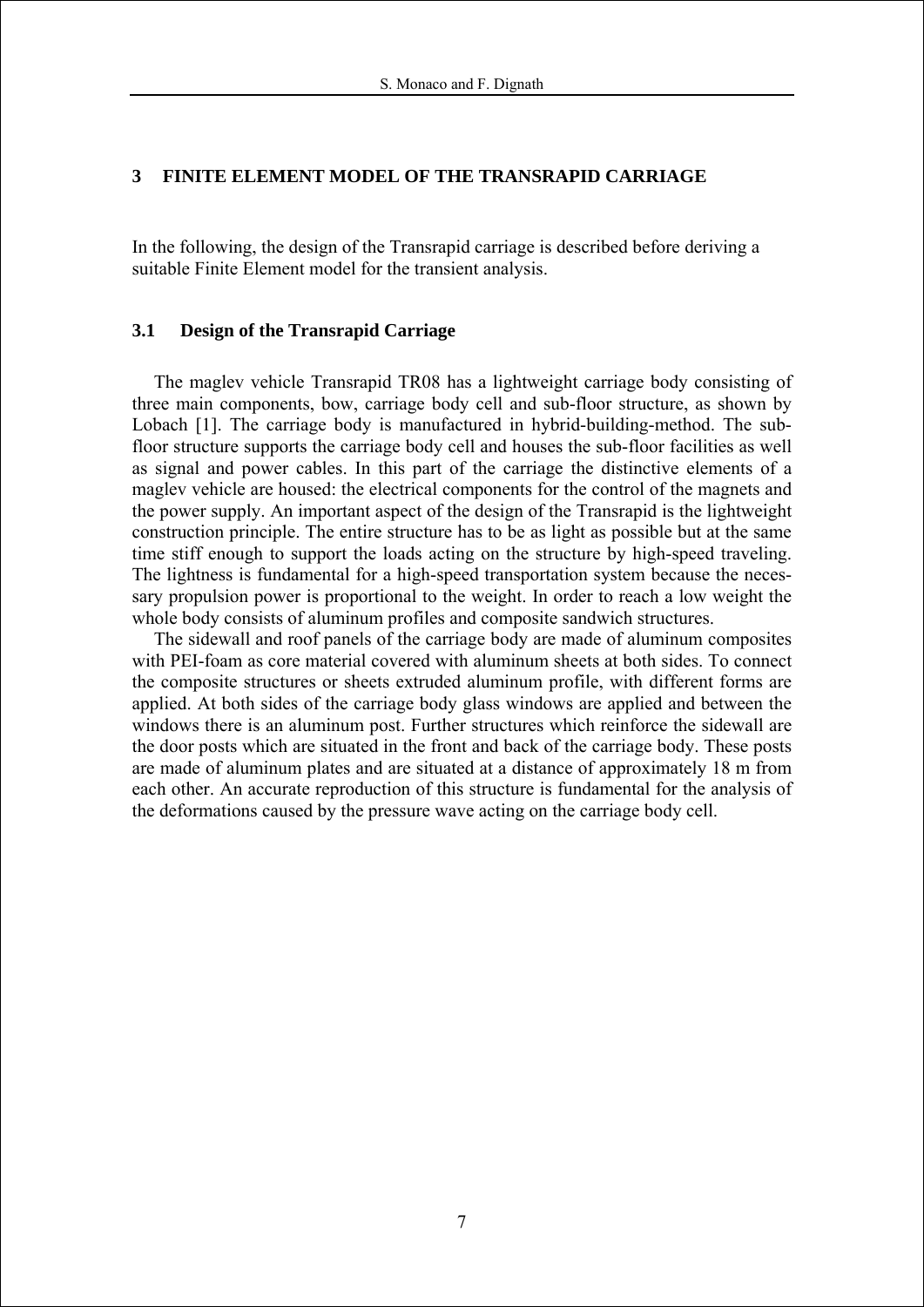# **3 FINITE ELEMENT MODEL OF THE TRANSRAPID CARRIAGE**

In the following, the design of the Transrapid carriage is described before deriving a suitable Finite Element model for the transient analysis.

## **3.1 Design of the Transrapid Carriage**

The maglev vehicle Transrapid TR08 has a lightweight carriage body consisting of three main components, bow, carriage body cell and sub-floor structure, as shown by Lobach [1]. The carriage body is manufactured in hybrid-building-method. The subfloor structure supports the carriage body cell and houses the sub-floor facilities as well as signal and power cables. In this part of the carriage the distinctive elements of a maglev vehicle are housed: the electrical components for the control of the magnets and the power supply. An important aspect of the design of the Transrapid is the lightweight construction principle. The entire structure has to be as light as possible but at the same time stiff enough to support the loads acting on the structure by high-speed traveling. The lightness is fundamental for a high-speed transportation system because the necessary propulsion power is proportional to the weight. In order to reach a low weight the whole body consists of aluminum profiles and composite sandwich structures.

The sidewall and roof panels of the carriage body are made of aluminum composites with PEI-foam as core material covered with aluminum sheets at both sides. To connect the composite structures or sheets extruded aluminum profile, with different forms are applied. At both sides of the carriage body glass windows are applied and between the windows there is an aluminum post. Further structures which reinforce the sidewall are the door posts which are situated in the front and back of the carriage body. These posts are made of aluminum plates and are situated at a distance of approximately 18 m from each other. An accurate reproduction of this structure is fundamental for the analysis of the deformations caused by the pressure wave acting on the carriage body cell.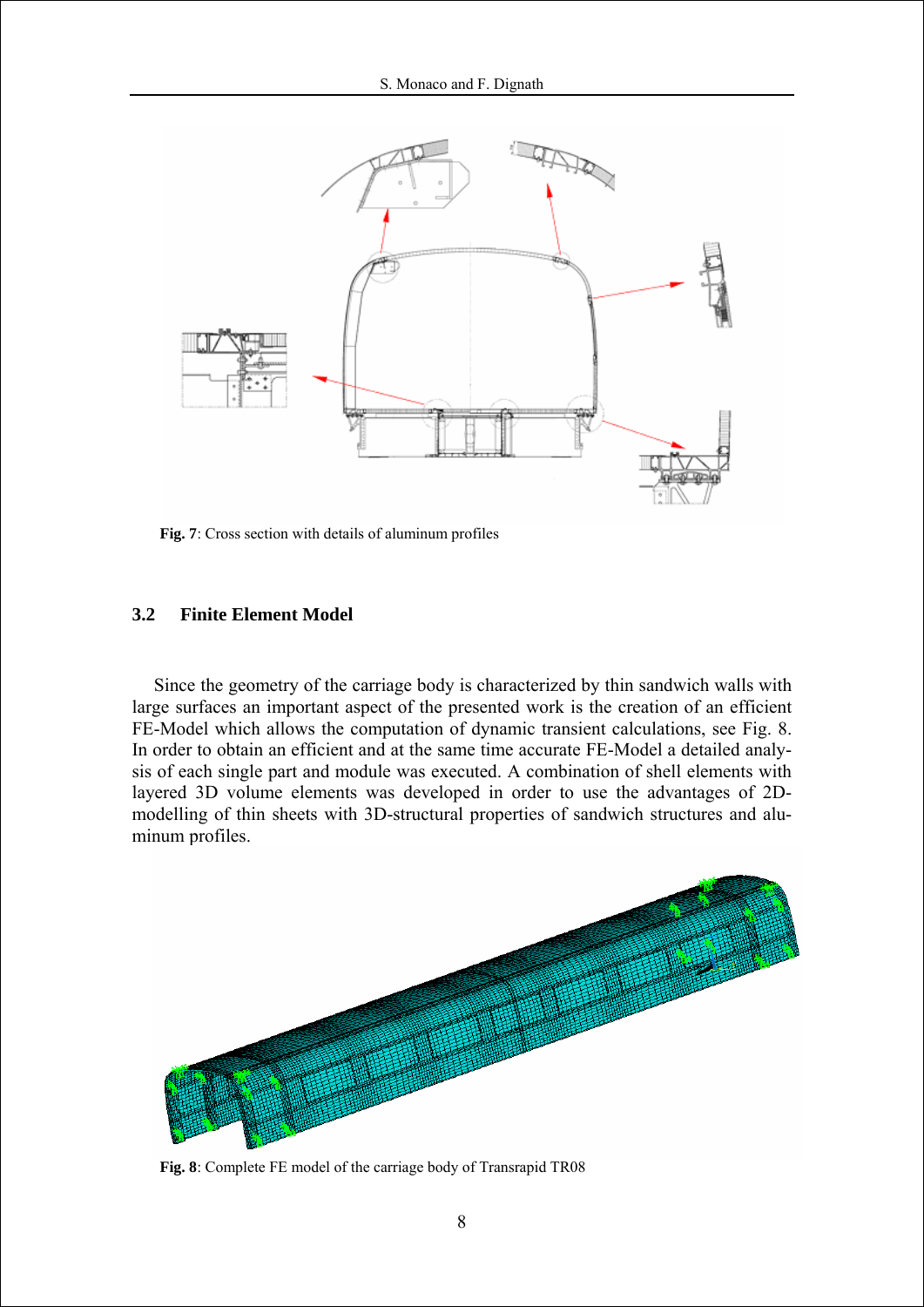

**Fig. 7**: Cross section with details of aluminum profiles

#### **3.2 Finite Element Model**

Since the geometry of the carriage body is characterized by thin sandwich walls with large surfaces an important aspect of the presented work is the creation of an efficient FE-Model which allows the computation of dynamic transient calculations, see Fig. 8. In order to obtain an efficient and at the same time accurate FE-Model a detailed analysis of each single part and module was executed. A combination of shell elements with layered 3D volume elements was developed in order to use the advantages of 2Dmodelling of thin sheets with 3D-structural properties of sandwich structures and aluminum profiles.



**Fig. 8**: Complete FE model of the carriage body of Transrapid TR08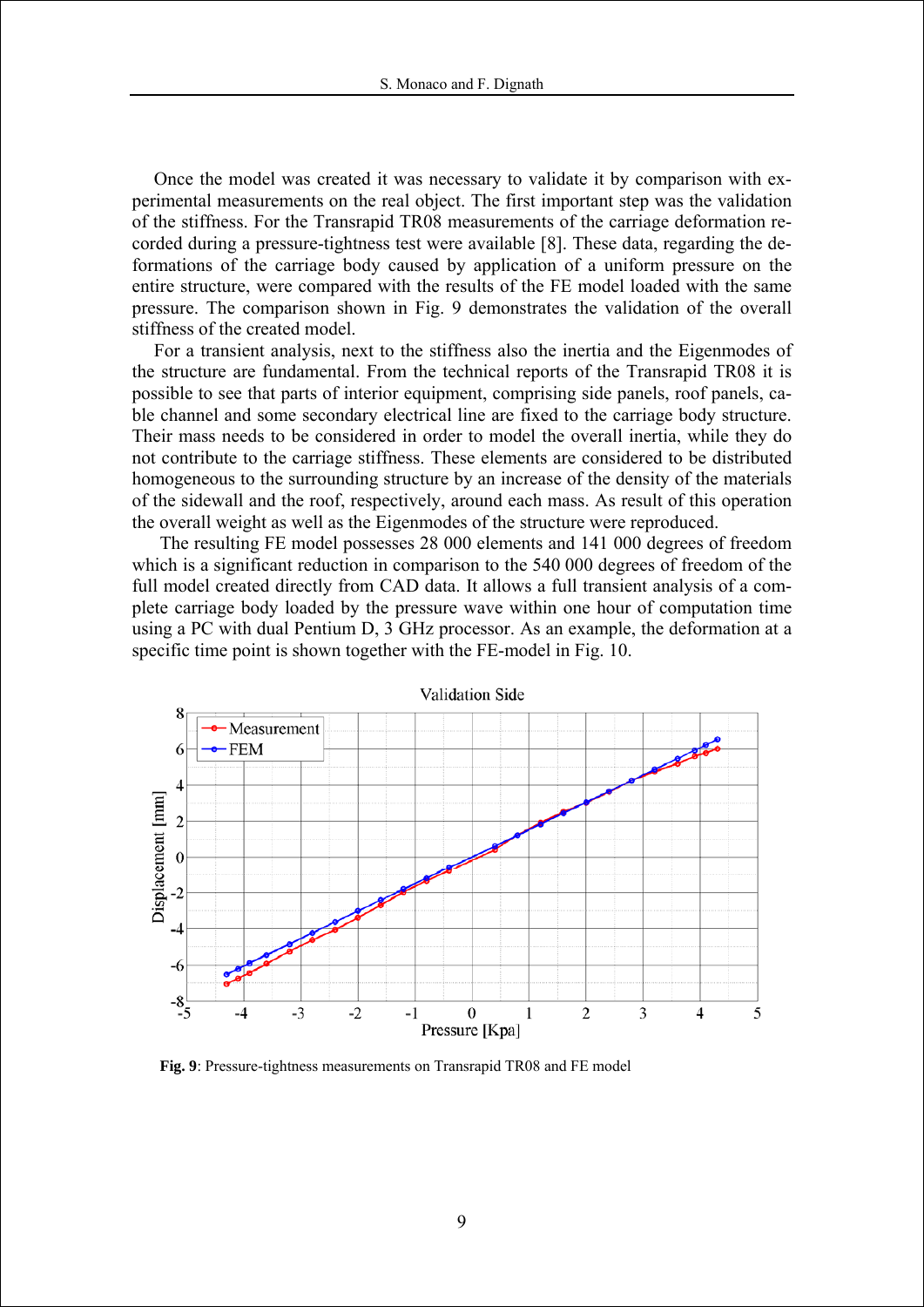Once the model was created it was necessary to validate it by comparison with experimental measurements on the real object. The first important step was the validation of the stiffness. For the Transrapid TR08 measurements of the carriage deformation recorded during a pressure-tightness test were available [8]. These data, regarding the deformations of the carriage body caused by application of a uniform pressure on the entire structure, were compared with the results of the FE model loaded with the same pressure. The comparison shown in Fig. 9 demonstrates the validation of the overall stiffness of the created model.

For a transient analysis, next to the stiffness also the inertia and the Eigenmodes of the structure are fundamental. From the technical reports of the Transrapid TR08 it is possible to see that parts of interior equipment, comprising side panels, roof panels, cable channel and some secondary electrical line are fixed to the carriage body structure. Their mass needs to be considered in order to model the overall inertia, while they do not contribute to the carriage stiffness. These elements are considered to be distributed homogeneous to the surrounding structure by an increase of the density of the materials of the sidewall and the roof, respectively, around each mass. As result of this operation the overall weight as well as the Eigenmodes of the structure were reproduced.

The resulting FE model possesses 28 000 elements and 141 000 degrees of freedom which is a significant reduction in comparison to the 540 000 degrees of freedom of the full model created directly from CAD data. It allows a full transient analysis of a complete carriage body loaded by the pressure wave within one hour of computation time using a PC with dual Pentium D, 3 GHz processor. As an example, the deformation at a specific time point is shown together with the FE-model in Fig. 10.



**Fig. 9**: Pressure-tightness measurements on Transrapid TR08 and FE model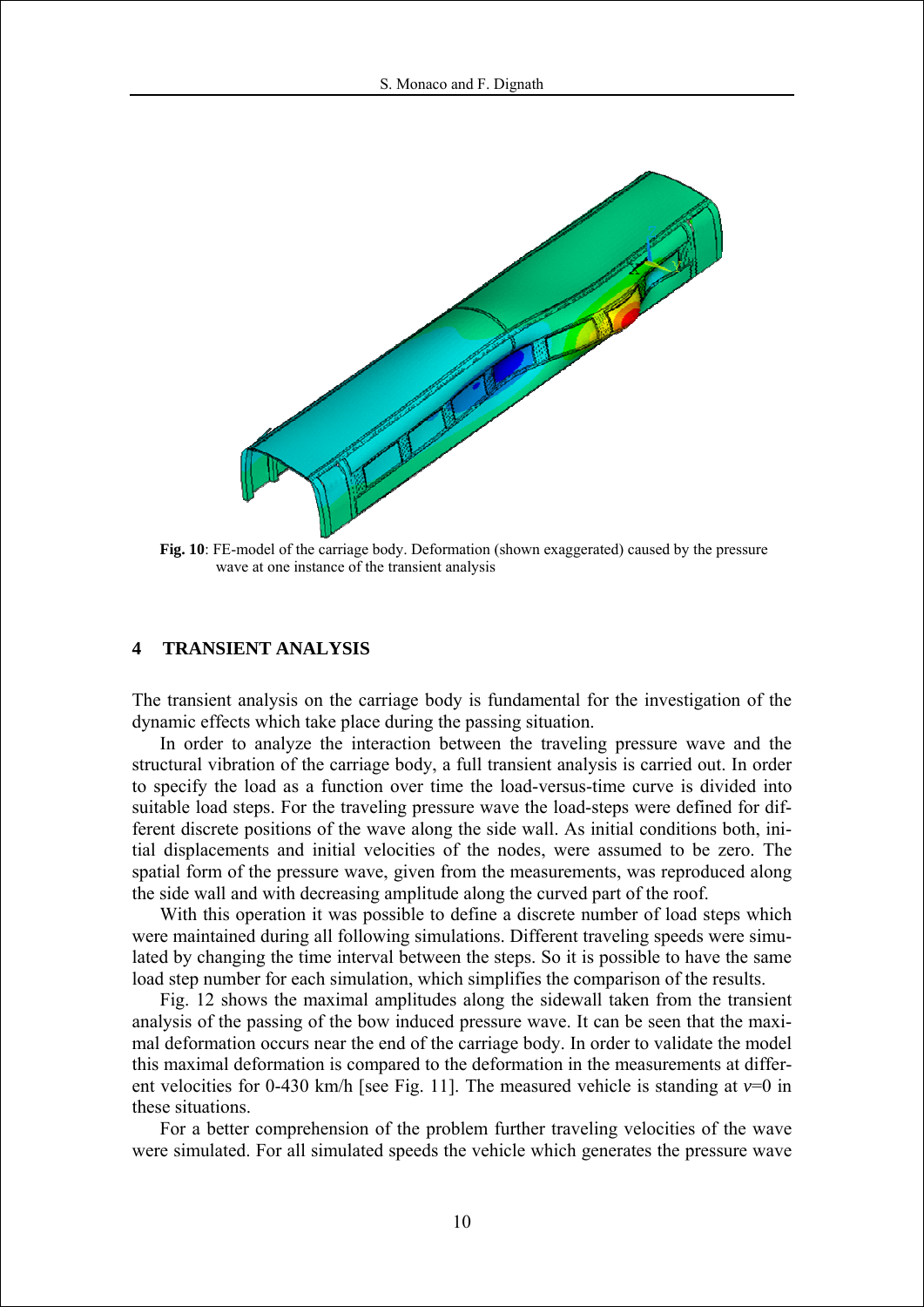

**Fig. 10**: FE-model of the carriage body. Deformation (shown exaggerated) caused by the pressure wave at one instance of the transient analysis

## **4 TRANSIENT ANALYSIS**

The transient analysis on the carriage body is fundamental for the investigation of the dynamic effects which take place during the passing situation.

In order to analyze the interaction between the traveling pressure wave and the structural vibration of the carriage body, a full transient analysis is carried out. In order to specify the load as a function over time the load-versus-time curve is divided into suitable load steps. For the traveling pressure wave the load-steps were defined for different discrete positions of the wave along the side wall. As initial conditions both, initial displacements and initial velocities of the nodes, were assumed to be zero. The spatial form of the pressure wave, given from the measurements, was reproduced along the side wall and with decreasing amplitude along the curved part of the roof.

With this operation it was possible to define a discrete number of load steps which were maintained during all following simulations. Different traveling speeds were simulated by changing the time interval between the steps. So it is possible to have the same load step number for each simulation, which simplifies the comparison of the results.

Fig. 12 shows the maximal amplitudes along the sidewall taken from the transient analysis of the passing of the bow induced pressure wave. It can be seen that the maximal deformation occurs near the end of the carriage body. In order to validate the model this maximal deformation is compared to the deformation in the measurements at different velocities for 0-430 km/h [see Fig. 11]. The measured vehicle is standing at  $v=0$  in these situations.

For a better comprehension of the problem further traveling velocities of the wave were simulated. For all simulated speeds the vehicle which generates the pressure wave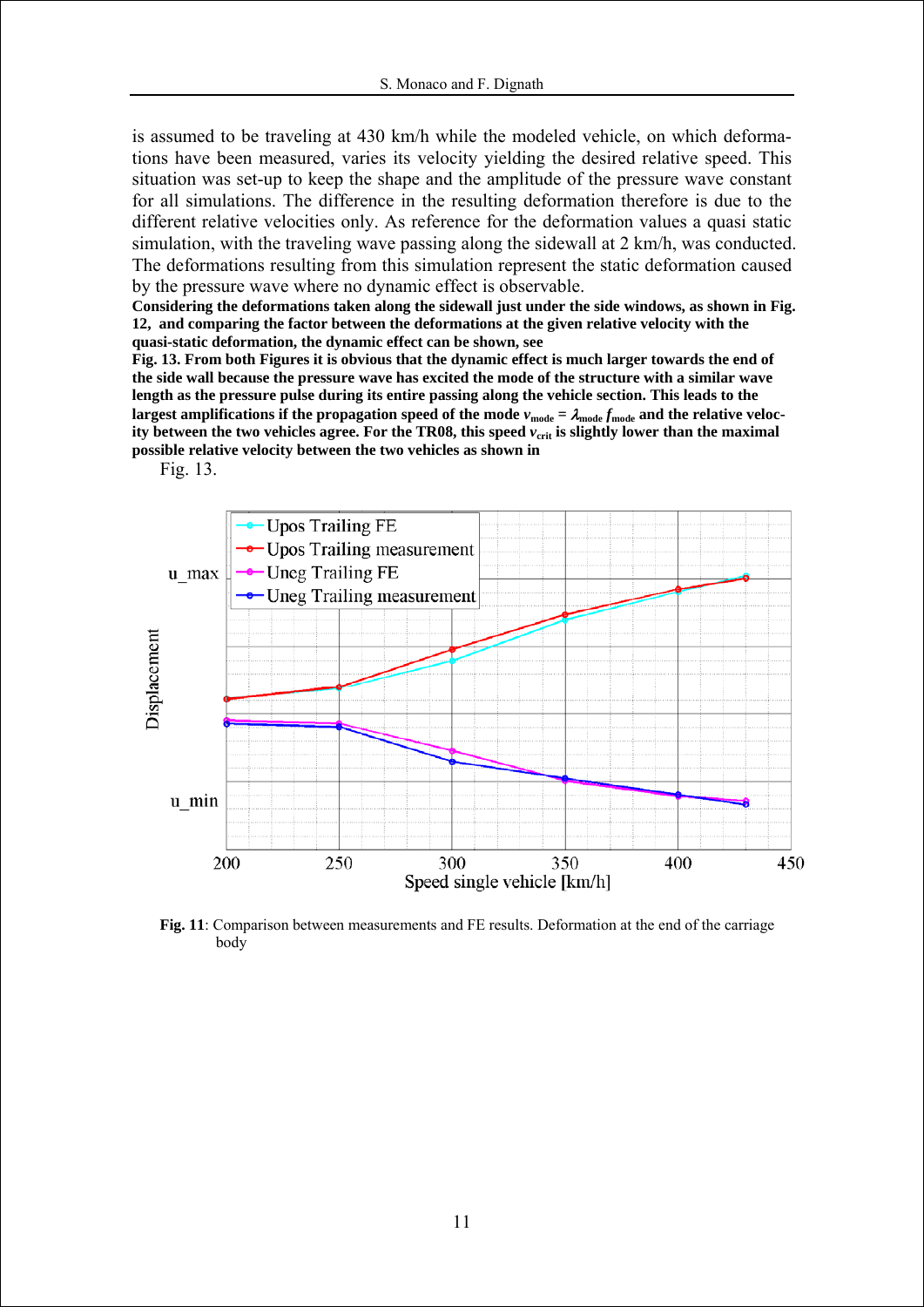is assumed to be traveling at 430 km/h while the modeled vehicle, on which deformations have been measured, varies its velocity yielding the desired relative speed. This situation was set-up to keep the shape and the amplitude of the pressure wave constant for all simulations. The difference in the resulting deformation therefore is due to the different relative velocities only. As reference for the deformation values a quasi static simulation, with the traveling wave passing along the sidewall at 2 km/h, was conducted. The deformations resulting from this simulation represent the static deformation caused by the pressure wave where no dynamic effect is observable.

**Considering the deformations taken along the sidewall just under the side windows, as shown in Fig. 12, and comparing the factor between the deformations at the given relative velocity with the quasi-static deformation, the dynamic effect can be shown, see** 

**Fig. 13. From both Figures it is obvious that the dynamic effect is much larger towards the end of the side wall because the pressure wave has excited the mode of the structure with a similar wave length as the pressure pulse during its entire passing along the vehicle section. This leads to the**  largest amplifications if the propagation speed of the mode  $v_{\text{mode}} = \lambda_{\text{mode}} f_{\text{mode}}$  and the relative velocity between the two vehicles agree. For the TR08, this speed  $v_{\text{crit}}$  is slightly lower than the maximal **possible relative velocity between the two vehicles as shown in** 

Fig. 13.



**Fig. 11**: Comparison between measurements and FE results. Deformation at the end of the carriage body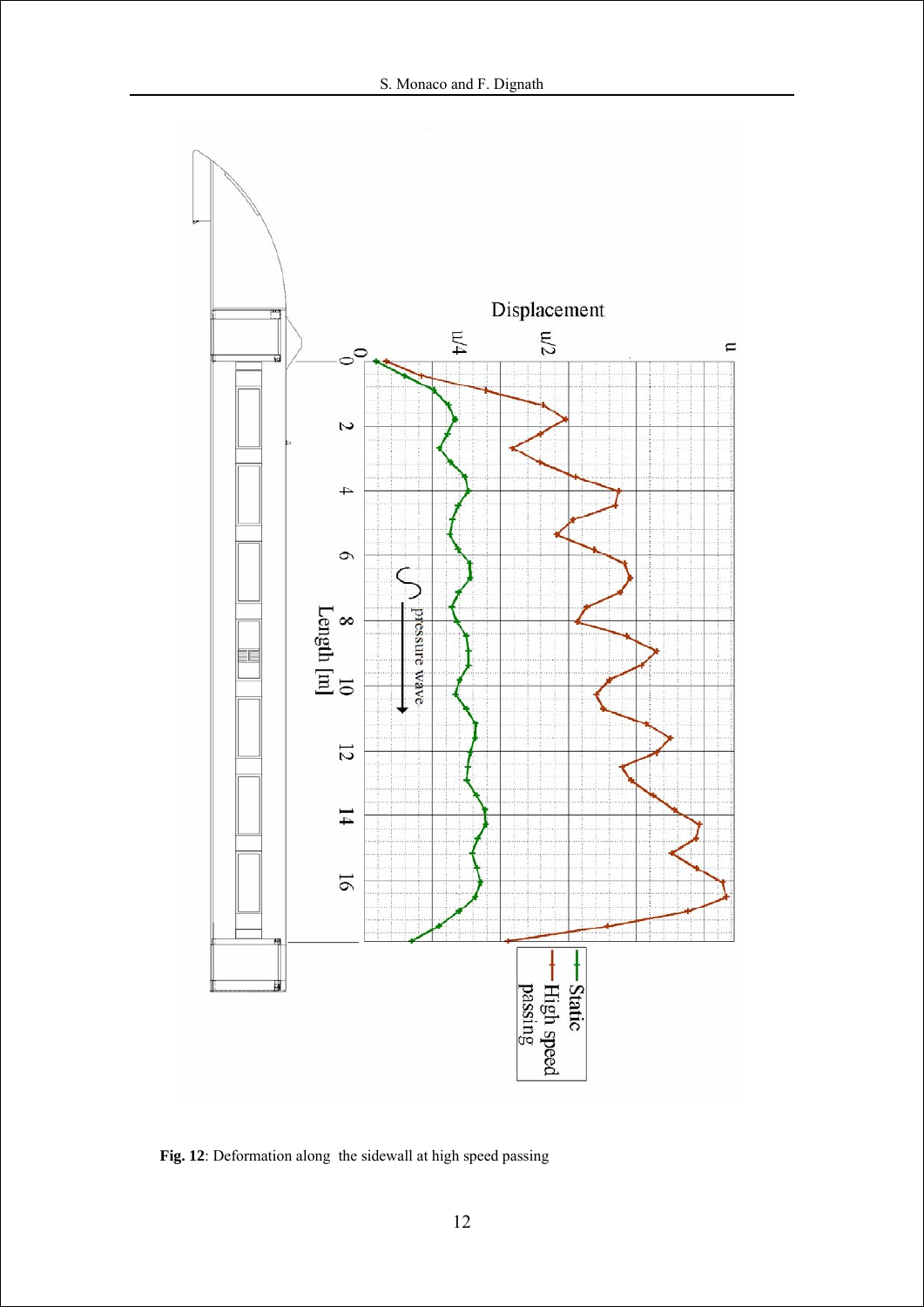

**Fig. 12**: Deformation along the sidewall at high speed passing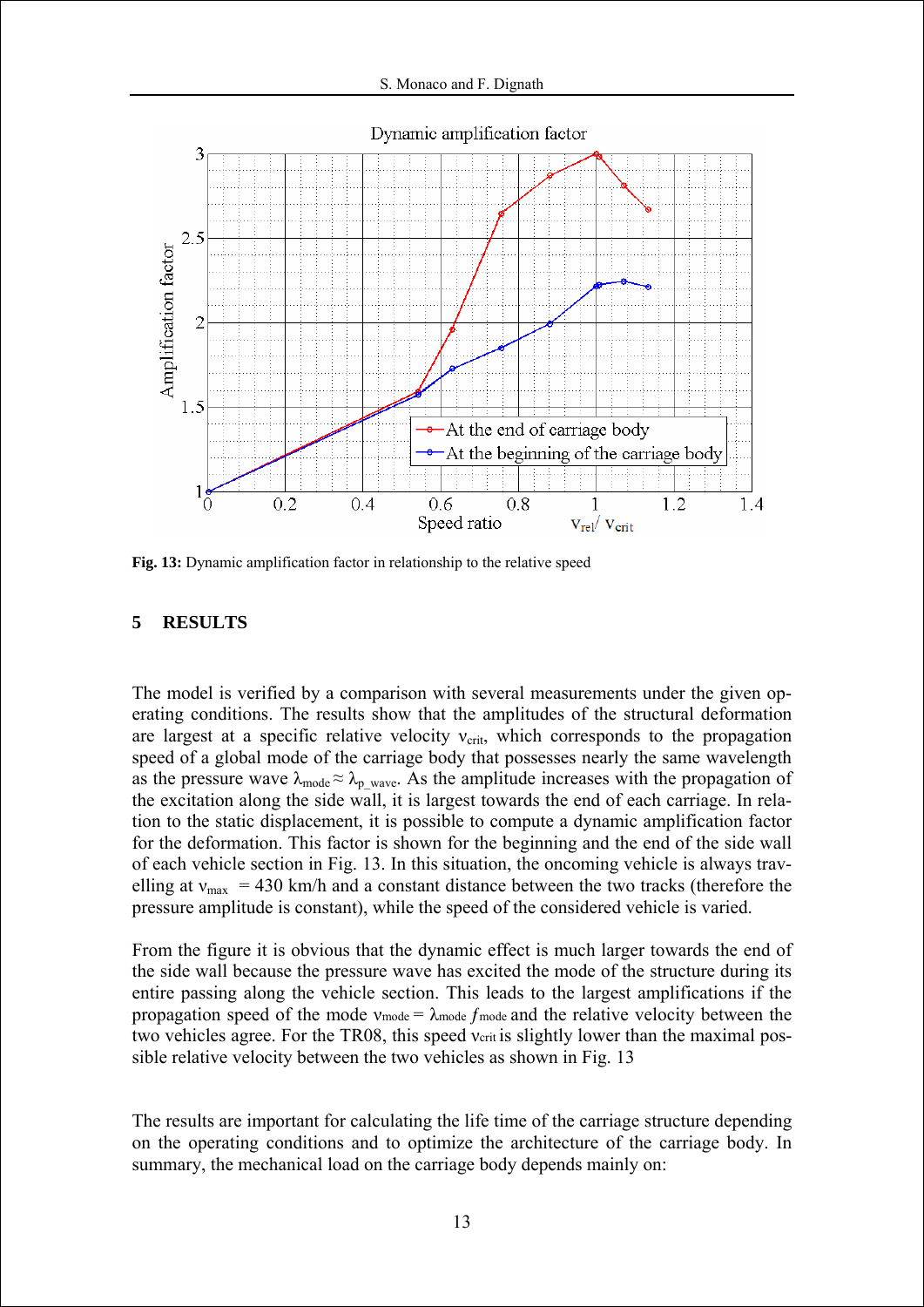

**Fig. 13:** Dynamic amplification factor in relationship to the relative speed

# **5 RESULTS**

The model is verified by a comparison with several measurements under the given operating conditions. The results show that the amplitudes of the structural deformation are largest at a specific relative velocity  $v_{\text{crit}}$ , which corresponds to the propagation speed of a global mode of the carriage body that possesses nearly the same wavelength as the pressure wave  $\lambda_{\text{mode}} \approx \lambda_p$  wave. As the amplitude increases with the propagation of the excitation along the side wall, it is largest towards the end of each carriage. In relation to the static displacement, it is possible to compute a dynamic amplification factor for the deformation. This factor is shown for the beginning and the end of the side wall of each vehicle section in Fig. 13. In this situation, the oncoming vehicle is always travelling at  $v_{\text{max}}$  = 430 km/h and a constant distance between the two tracks (therefore the pressure amplitude is constant), while the speed of the considered vehicle is varied.

From the figure it is obvious that the dynamic effect is much larger towards the end of the side wall because the pressure wave has excited the mode of the structure during its entire passing along the vehicle section. This leads to the largest amplifications if the propagation speed of the mode  $v_{\text{mode}} = \lambda_{\text{mode}} f_{\text{mode}}$  and the relative velocity between the two vehicles agree. For the TR08, this speed verit is slightly lower than the maximal possible relative velocity between the two vehicles as shown in Fig. 13

The results are important for calculating the life time of the carriage structure depending on the operating conditions and to optimize the architecture of the carriage body. In summary, the mechanical load on the carriage body depends mainly on: